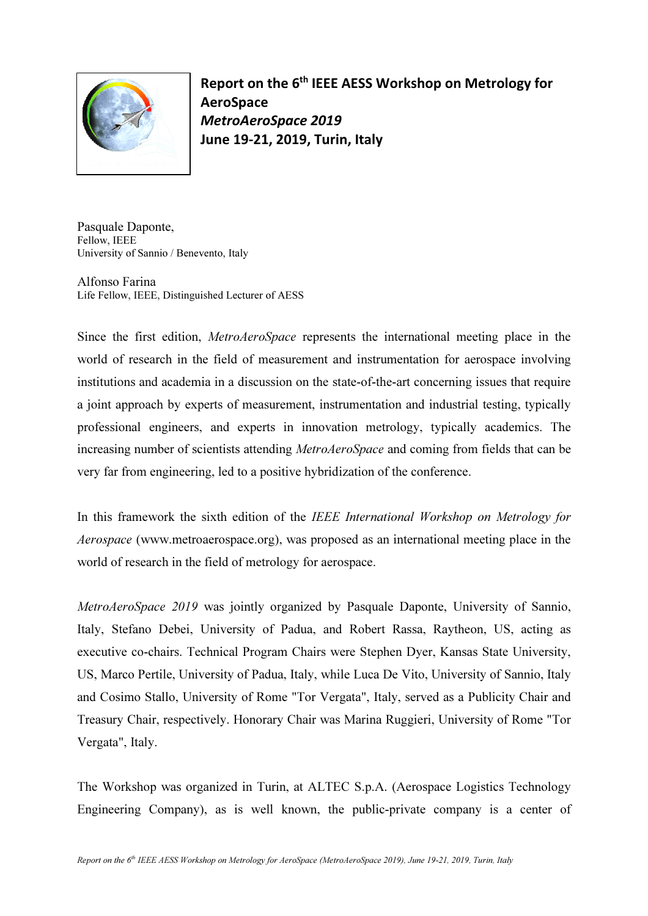

Report on the 6th IEEE AESS Workshop on Metrology for AeroSpace MetroAeroSpace 2019 June 19-21, 2019, Turin, Italy

Pasquale Daponte, Fellow, IEEE University of Sannio / Benevento, Italy

Alfonso Farina Life Fellow, IEEE, Distinguished Lecturer of AESS

Since the first edition, MetroAeroSpace represents the international meeting place in the world of research in the field of measurement and instrumentation for aerospace involving institutions and academia in a discussion on the state-of-the-art concerning issues that require a joint approach by experts of measurement, instrumentation and industrial testing, typically professional engineers, and experts in innovation metrology, typically academics. The increasing number of scientists attending *MetroAeroSpace* and coming from fields that can be very far from engineering, led to a positive hybridization of the conference.

In this framework the sixth edition of the IEEE International Workshop on Metrology for Aerospace (www.metroaerospace.org), was proposed as an international meeting place in the world of research in the field of metrology for aerospace.

MetroAeroSpace 2019 was jointly organized by Pasquale Daponte, University of Sannio, Italy, Stefano Debei, University of Padua, and Robert Rassa, Raytheon, US, acting as executive co-chairs. Technical Program Chairs were Stephen Dyer, Kansas State University, US, Marco Pertile, University of Padua, Italy, while Luca De Vito, University of Sannio, Italy and Cosimo Stallo, University of Rome "Tor Vergata", Italy, served as a Publicity Chair and Treasury Chair, respectively. Honorary Chair was Marina Ruggieri, University of Rome "Tor Vergata", Italy.

The Workshop was organized in Turin, at ALTEC S.p.A. (Aerospace Logistics Technology Engineering Company), as is well known, the public-private company is a center of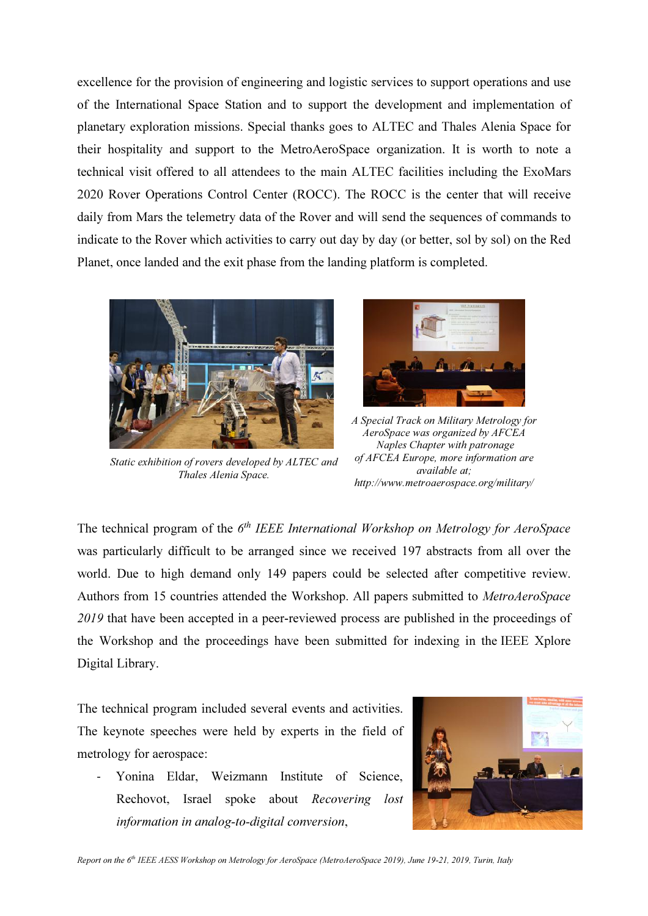excellence for the provision of engineering and logistic services to support operations and use of the International Space Station and to support the development and implementation of planetary exploration missions. Special thanks goes to ALTEC and Thales Alenia Space for their hospitality and support to the MetroAeroSpace organization. It is worth to note a technical visit offered to all attendees to the main ALTEC facilities including the ExoMars 2020 Rover Operations Control Center (ROCC). The ROCC is the center that will receive daily from Mars the telemetry data of the Rover and will send the sequences of commands to indicate to the Rover which activities to carry out day by day (or better, sol by sol) on the Red Planet, once landed and the exit phase from the landing platform is completed.



Static exhibition of rovers developed by ALTEC and Thales Alenia Space.



A Special Track on Military Metrology for AeroSpace was organized by AFCEA Naples Chapter with patronage of AFCEA Europe, more information are available at; http://www.metroaerospace.org/military/

The technical program of the  $6<sup>th</sup> IEEE International Workshop on Metrology for AeroSpace$ was particularly difficult to be arranged since we received 197 abstracts from all over the world. Due to high demand only 149 papers could be selected after competitive review. Authors from 15 countries attended the Workshop. All papers submitted to MetroAeroSpace 2019 that have been accepted in a peer-reviewed process are published in the proceedings of the Workshop and the proceedings have been submitted for indexing in the IEEE Xplore Digital Library.

The technical program included several events and activities. The keynote speeches were held by experts in the field of metrology for aerospace:

- Yonina Eldar, Weizmann Institute of Science, Rechovot, Israel spoke about Recovering lost information in analog-to-digital conversion,

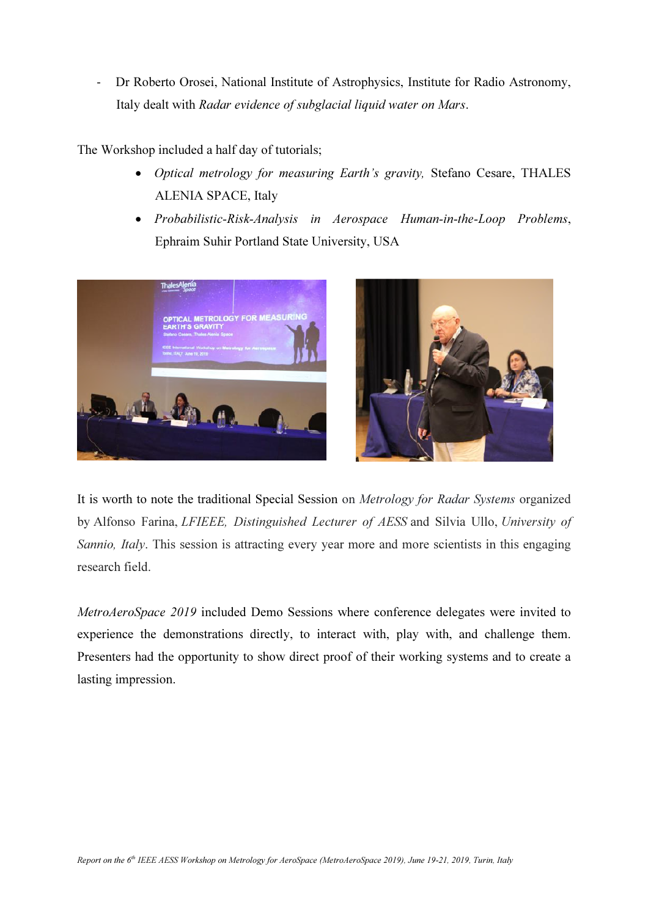- Dr Roberto Orosei, National Institute of Astrophysics, Institute for Radio Astronomy, Italy dealt with Radar evidence of subglacial liquid water on Mars.

The Workshop included a half day of tutorials;

- Optical metrology for measuring Earth's gravity, Stefano Cesare, THALES ALENIA SPACE, Italy
- Probabilistic-Risk-Analysis in Aerospace Human-in-the-Loop Problems, Ephraim Suhir Portland State University, USA





It is worth to note the traditional Special Session on Metrology for Radar Systems organized by Alfonso Farina, LFIEEE, Distinguished Lecturer of AESS and Silvia Ullo, University of Sannio, Italy. This session is attracting every year more and more scientists in this engaging research field.

MetroAeroSpace 2019 included Demo Sessions where conference delegates were invited to experience the demonstrations directly, to interact with, play with, and challenge them. Presenters had the opportunity to show direct proof of their working systems and to create a lasting impression.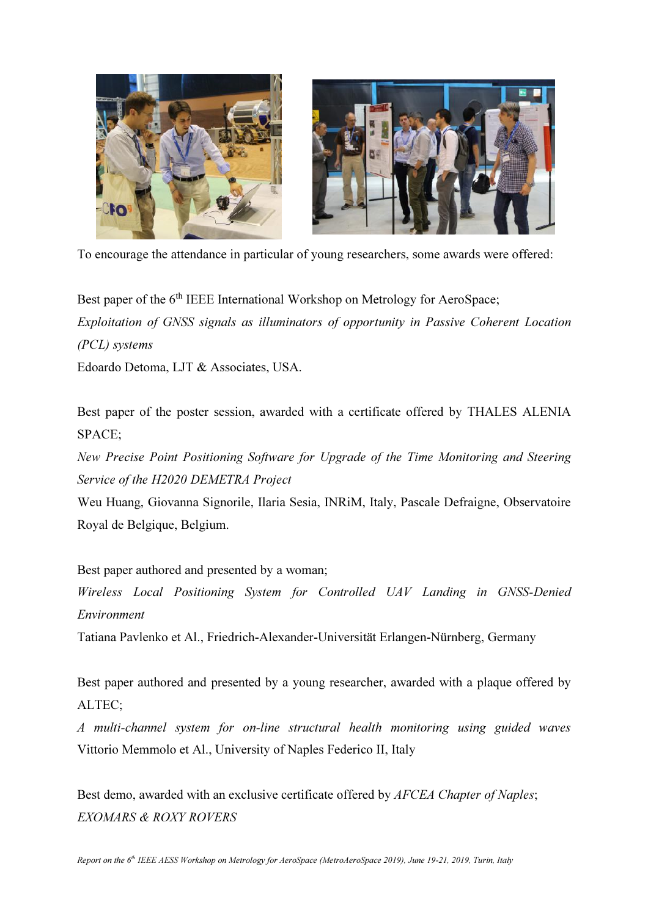



To encourage the attendance in particular of young researchers, some awards were offered:

Best paper of the 6<sup>th</sup> IEEE International Workshop on Metrology for AeroSpace; Exploitation of GNSS signals as illuminators of opportunity in Passive Coherent Location (PCL) systems

Edoardo Detoma, LJT & Associates, USA.

Best paper of the poster session, awarded with a certificate offered by THALES ALENIA SPACE;

New Precise Point Positioning Software for Upgrade of the Time Monitoring and Steering Service of the H2020 DEMETRA Project

Weu Huang, Giovanna Signorile, Ilaria Sesia, INRiM, Italy, Pascale Defraigne, Observatoire Royal de Belgique, Belgium.

Best paper authored and presented by a woman;

Wireless Local Positioning System for Controlled UAV Landing in GNSS-Denied Environment

Tatiana Pavlenko et Al., Friedrich-Alexander-Universität Erlangen-Nürnberg, Germany

Best paper authored and presented by a young researcher, awarded with a plaque offered by ALTEC;

A multi-channel system for on-line structural health monitoring using guided waves Vittorio Memmolo et Al., University of Naples Federico II, Italy

Best demo, awarded with an exclusive certificate offered by AFCEA Chapter of Naples; EXOMARS & ROXY ROVERS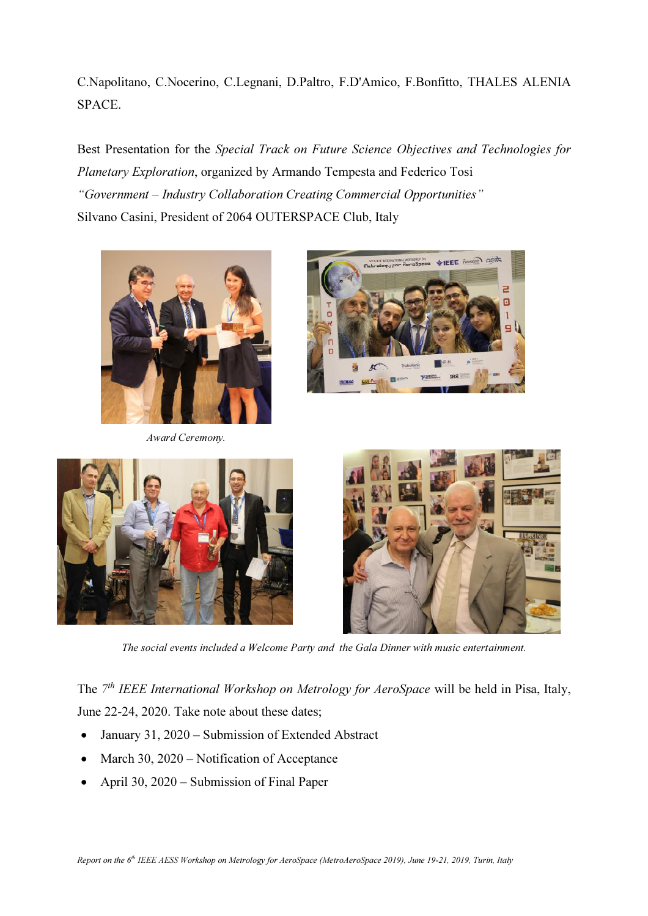C.Napolitano, C.Nocerino, C.Legnani, D.Paltro, F.D'Amico, F.Bonfitto, THALES ALENIA SPACE.

Best Presentation for the Special Track on Future Science Objectives and Technologies for Planetary Exploration, organized by Armando Tempesta and Federico Tosi "Government – Industry Collaboration Creating Commercial Opportunities" Silvano Casini, President of 2064 OUTERSPACE Club, Italy



Award Ceremony.







The social events included a Welcome Party and the Gala Dinner with music entertainment.

The 7<sup>th</sup> IEEE International Workshop on Metrology for AeroSpace will be held in Pisa, Italy, June 22-24, 2020. Take note about these dates;

- January 31, 2020 Submission of Extended Abstract
- March 30, 2020 Notification of Acceptance
- April 30, 2020 Submission of Final Paper